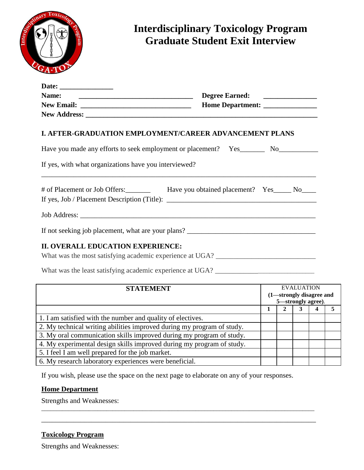

# **Interdisciplinary Toxicology Program Graduate Student Exit Interview**

|                                                       | Home Department: ______________                                                                      |
|-------------------------------------------------------|------------------------------------------------------------------------------------------------------|
|                                                       |                                                                                                      |
|                                                       | I. AFTER-GRADUATION EMPLOYMENT/CAREER ADVANCEMENT PLANS                                              |
|                                                       | Have you made any efforts to seek employment or placement? Yes__________ No_________________________ |
| If yes, with what organizations have you interviewed? |                                                                                                      |
|                                                       |                                                                                                      |
|                                                       |                                                                                                      |
|                                                       |                                                                                                      |
| <b>II. OVERALL EDUCATION EXPERIENCE:</b>              | What was the most satisfying academic experience at UGA? ________________________                    |
|                                                       |                                                                                                      |

| <b>STATEMENT</b>                                                       | <b>EVALUATION</b><br>(1-strongly disagree and<br>5-strongly agree). |  |  |  |  |
|------------------------------------------------------------------------|---------------------------------------------------------------------|--|--|--|--|
|                                                                        |                                                                     |  |  |  |  |
| 1. I am satisfied with the number and quality of electives.            |                                                                     |  |  |  |  |
| 2. My technical writing abilities improved during my program of study. |                                                                     |  |  |  |  |
| 3. My oral communication skills improved during my program of study.   |                                                                     |  |  |  |  |
| 4. My experimental design skills improved during my program of study.  |                                                                     |  |  |  |  |
| 5. I feel I am well prepared for the job market.                       |                                                                     |  |  |  |  |
| 6. My research laboratory experiences were beneficial.                 |                                                                     |  |  |  |  |

If you wish, please use the space on the next page to elaborate on any of your responses.

\_\_\_\_\_\_\_\_\_\_\_\_\_\_\_\_\_\_\_\_\_\_\_\_\_\_\_\_\_\_\_\_\_\_\_\_\_\_\_\_\_\_\_\_\_\_\_\_\_\_\_\_\_\_\_\_\_\_\_\_\_\_\_\_\_\_\_\_\_\_\_\_\_\_\_\_\_\_\_\_\_\_\_\_\_\_\_\_\_\_\_\_ \_\_\_\_\_\_\_\_\_\_\_\_\_\_\_\_\_\_\_\_\_\_\_\_\_\_\_\_\_\_\_\_\_\_\_\_\_\_\_\_\_\_\_\_\_\_\_\_\_\_\_\_\_\_\_\_\_\_\_\_\_\_\_\_\_\_\_\_\_\_\_\_\_\_\_\_\_

# **Home Department**

Strengths and Weaknesses:

# **Toxicology Program**

Strengths and Weaknesses: